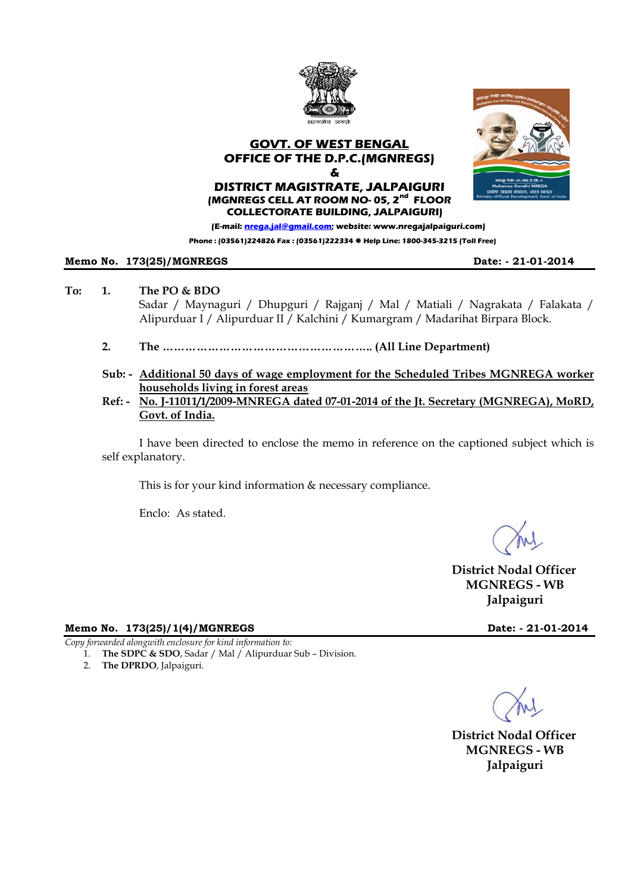

**Phone : (03561)224826 Fax : (03561)222334** Æ **Help Line: 1800-345-3215 (Toll Free)** 

## **Memo No. 173(25)/MGNREGS Date: - 21-01-2014**

## **To: 1. The PO & BDO**

Sadar / Maynaguri / Dhupguri / Rajganj / Mal / Matiali / Nagrakata / Falakata / Alipurduar I / Alipurduar II / Kalchini / Kumargram / Madarihat Birpara Block.

- **2. The ……………………………………………….. (All Line Department)**
- **Sub: Additional 50 days of wage employment for the Scheduled Tribes MGNREGA worker households living in forest areas**
- **Ref: No. J-11011/1/2009-MNREGA dated 07-01-2014 of the Jt. Secretary (MGNREGA), MoRD, Govt. of India.**

I have been directed to enclose the memo in reference on the captioned subject which is self explanatory.

This is for your kind information & necessary compliance.

Enclo: As stated.

 **District Nodal Officer MGNREGS - WB Jalpaiguri** 

### **Memo No. 173(25)/1(4)/MGNREGS Date: - 21-01-2014**

*Copy forwarded alongwith enclosure for kind information to:* 

- 1. **The SDPC & SDO**, Sadar / Mal / Alipurduar Sub Division.
- 2. **The DPRDO**, Jalpaiguri.

 **District Nodal Officer MGNREGS - WB Jalpaiguri**